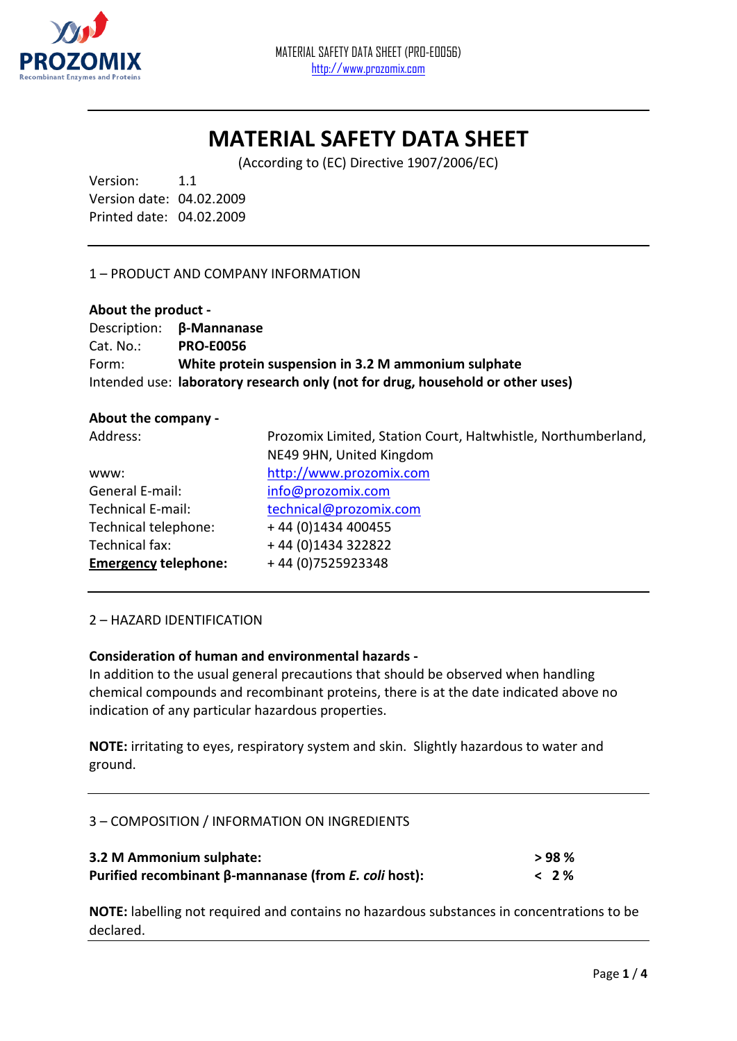

# **MATERIAL SAFETY DATA SHEET**

(According to (EC) Directive 1907/2006/EC)

Version: 1.1 Version date: 04.02.2009 Printed date: 04.02.2009

## 1 – PRODUCT AND COMPANY INFORMATION

#### **About the product -**

|              | Description: <b><math>\beta</math>-Mannanase</b>                               |
|--------------|--------------------------------------------------------------------------------|
| $Cat. No.$ : | <b>PRO-E0056</b>                                                               |
| Form:        | White protein suspension in 3.2 M ammonium sulphate                            |
|              | Intended use: laboratory research only (not for drug, household or other uses) |

#### **About the company -**

| Address:                    | Prozomix Limited, Station Court, Haltwhistle, Northumberland, |
|-----------------------------|---------------------------------------------------------------|
|                             | NE49 9HN, United Kingdom                                      |
| www:                        | http://www.prozomix.com                                       |
| General E-mail:             | info@prozomix.com                                             |
| <b>Technical E-mail:</b>    | technical@prozomix.com                                        |
| Technical telephone:        | +44 (0)1434 400455                                            |
| Technical fax:              | +44 (0) 1434 322822                                           |
| <b>Emergency telephone:</b> | +44 (0) 7525923348                                            |

#### 2 – HAZARD IDENTIFICATION

## **Consideration of human and environmental hazards -**

In addition to the usual general precautions that should be observed when handling chemical compounds and recombinant proteins, there is at the date indicated above no indication of any particular hazardous properties.

**NOTE:** irritating to eyes, respiratory system and skin. Slightly hazardous to water and ground.

## 3 – COMPOSITION / INFORMATION ON INGREDIENTS

| 3.2 M Ammonium sulphate:                                     | >98%       |
|--------------------------------------------------------------|------------|
| Purified recombinant β-mannanase (from <i>E. coli</i> host): | <b>12%</b> |

**NOTE:** labelling not required and contains no hazardous substances in concentrations to be declared.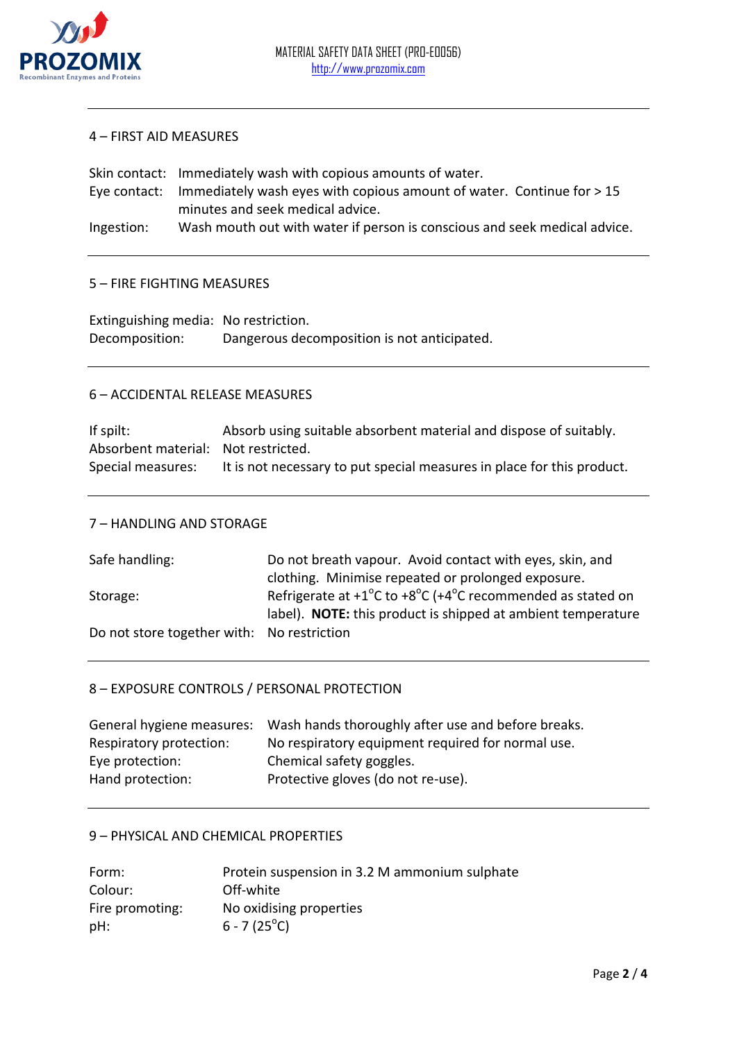

#### 4 – FIRST AID MEASURES

Skin contact: Immediately wash with copious amounts of water. Eye contact: Immediately wash eyes with copious amount of water. Continue for > 15 minutes and seek medical advice. Ingestion: Wash mouth out with water if person is conscious and seek medical advice.

#### 5 – FIRE FIGHTING MEASURES

| Extinguishing media: No restriction. |                                             |
|--------------------------------------|---------------------------------------------|
| Decomposition:                       | Dangerous decomposition is not anticipated. |

#### 6 – ACCIDENTAL RELEASE MEASURES

If spilt: Absorb using suitable absorbent material and dispose of suitably. Absorbent material: Not restricted. Special measures: It is not necessary to put special measures in place for this product.

#### 7 – HANDLING AND STORAGE

| Safe handling:                             | Do not breath vapour. Avoid contact with eyes, skin, and                                  |
|--------------------------------------------|-------------------------------------------------------------------------------------------|
|                                            | clothing. Minimise repeated or prolonged exposure.                                        |
| Storage:                                   | Refrigerate at $+1^{\circ}$ C to $+8^{\circ}$ C ( $+4^{\circ}$ C recommended as stated on |
|                                            | label). NOTE: this product is shipped at ambient temperature                              |
| Do not store together with: No restriction |                                                                                           |

## 8 – EXPOSURE CONTROLS / PERSONAL PROTECTION

| Wash hands thoroughly after use and before breaks.<br>General hygiene measures: |
|---------------------------------------------------------------------------------|
| No respiratory equipment required for normal use.                               |
| Chemical safety goggles.                                                        |
| Protective gloves (do not re-use).                                              |
|                                                                                 |

## 9 – PHYSICAL AND CHEMICAL PROPERTIES

| Form:           | Protein suspension in 3.2 M ammonium sulphate |
|-----------------|-----------------------------------------------|
| Colour:         | Off-white                                     |
| Fire promoting: | No oxidising properties                       |
| pH:             | $6 - 7(25^{\circ}C)$                          |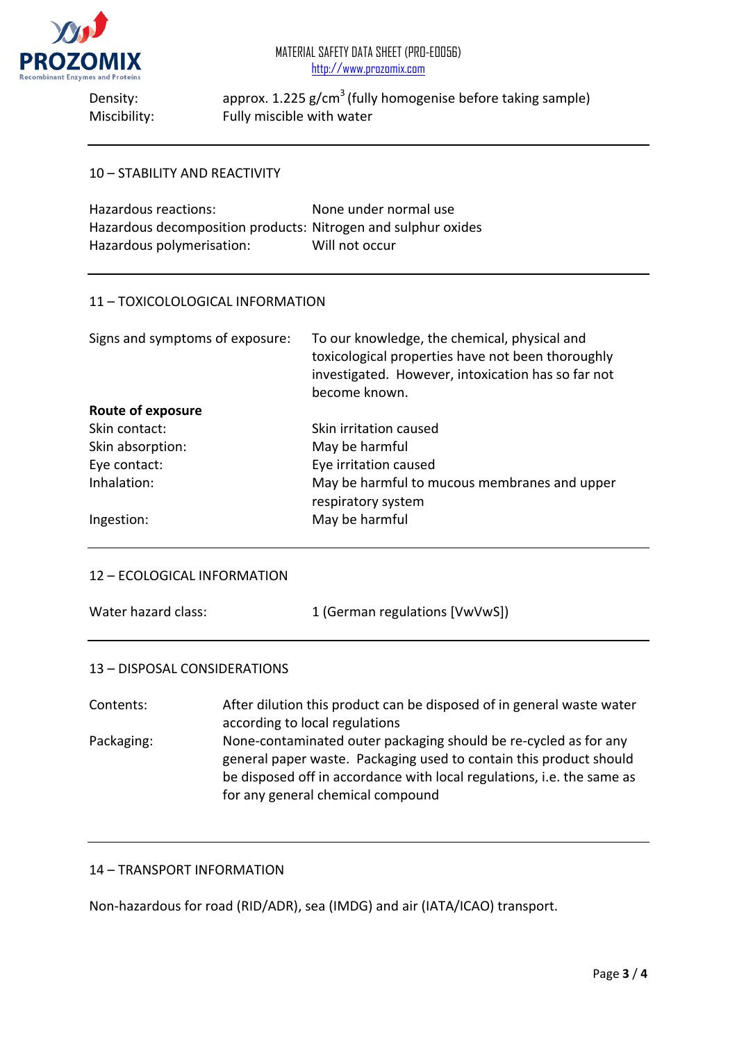

Density: approx. 1.225 g/cm<sup>3</sup> (fully homogenise before taking sample) Miscibility: Fully miscible with water

## 10 – STABILITY AND REACTIVITY

| Hazardous reactions:                                          | None under normal use |
|---------------------------------------------------------------|-----------------------|
| Hazardous decomposition products: Nitrogen and sulphur oxides |                       |
| Hazardous polymerisation:                                     | Will not occur        |

#### 11 – TOXICOLOLOGICAL INFORMATION

| Signs and symptoms of exposure: | To our knowledge, the chemical, physical and<br>toxicological properties have not been thoroughly<br>investigated. However, intoxication has so far not<br>become known. |
|---------------------------------|--------------------------------------------------------------------------------------------------------------------------------------------------------------------------|
| <b>Route of exposure</b>        |                                                                                                                                                                          |
| Skin contact:                   | Skin irritation caused                                                                                                                                                   |
| Skin absorption:                | May be harmful                                                                                                                                                           |
| Eye contact:                    | Eye irritation caused                                                                                                                                                    |
| Inhalation:                     | May be harmful to mucous membranes and upper<br>respiratory system                                                                                                       |
| Ingestion:                      | May be harmful                                                                                                                                                           |

#### 12 – ECOLOGICAL INFORMATION

| Water hazard class: | 1 (German regulations [VwVwS]) |
|---------------------|--------------------------------|
|                     |                                |

#### 13 – DISPOSAL CONSIDERATIONS

Contents: After dilution this product can be disposed of in general waste water according to local regulations Packaging: None-contaminated outer packaging should be re-cycled as for any general paper waste. Packaging used to contain this product should be disposed off in accordance with local regulations, i.e. the same as for any general chemical compound

## 14 – TRANSPORT INFORMATION

Non-hazardous for road (RID/ADR), sea (IMDG) and air (IATA/ICAO) transport.